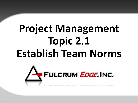# **Project Management Topic 2.1 Establish Team Norms**

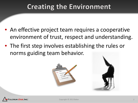### **Creating the Environment**

- An effective project team requires a cooperative environment of trust, respect and understanding.
- The first step involves establishing the rules or norms guiding team behavior.





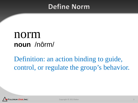### **Define Norm**

## norm **noun** /nôrm/

Definition: an action binding to guide, control, or regulate the group's behavior.

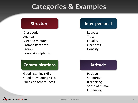### **Categories & Examples**

Dress code Agenda Meeting minutes Prompt start time Breaks Pagers & cellphones

### **Communications Attitude**

Good listening skills Good questioning skills Builds on others' ideas

### **Structure Inter-personal**

Respect **Trust** Equality **Openness** Honesty

Positive Supportive Risk taking Sense of humor Fun-loving

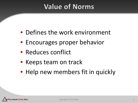## **Value of Norms**

- Defines the work environment
- Encourages proper behavior
- Reduces conflict
- Keeps team on track
- Help new members fit in quickly

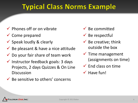### **Typical Class Norms Example**

- $\checkmark$  Phones off or on vibrate
- $\checkmark$  Come prepared
- $\checkmark$  Speak loudly & clearly
- $\checkmark$  Be pleasant & have a nice attitude
- $\checkmark$  Do your fair share of team work
- $\checkmark$  Instructor feedback goals: 3 days Projects, 2 days Quizzes & On Line **Discussion**
- $\checkmark$  Be sensitive to others' concerns
- $\checkmark$  Be committed
- $\checkmark$  Be respectful
- $\checkmark$  Be creative; think outside the box
- $\checkmark$  Time management (assignments on time)
- $\checkmark$  End class on time
- $\checkmark$  Have fun!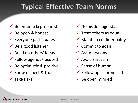## **Typical Effective Team Norms**

- $\checkmark$  Be on time & prepared
- $\checkmark$  Be open & honest
- $\checkmark$  Everyone participates
- $\checkmark$  Be a good listener
- $\checkmark$  Build on others' ideas
- $\checkmark$  Follow agenda/focused
- $\checkmark$  Be optimistic & positive
- $\checkmark$  Show respect & trust
- $\checkmark$  Take risks
- $\checkmark$  No hidden agendas
- $\checkmark$  Treat others as equal
- $\checkmark$  Maintain confidentiality
- $\checkmark$  Commit to goals
- $\checkmark$  Ask questions
- $\checkmark$  Avoid sarcasm
- $\checkmark$  Sense of humor
- $\checkmark$  Follow up as promised
- $\checkmark$  Be open minded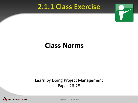### 2.1.1 Class Exercise



### **Class Norms**

### Learn by Doing Project Management Pages 26-28



Copyright © 2013 Baker